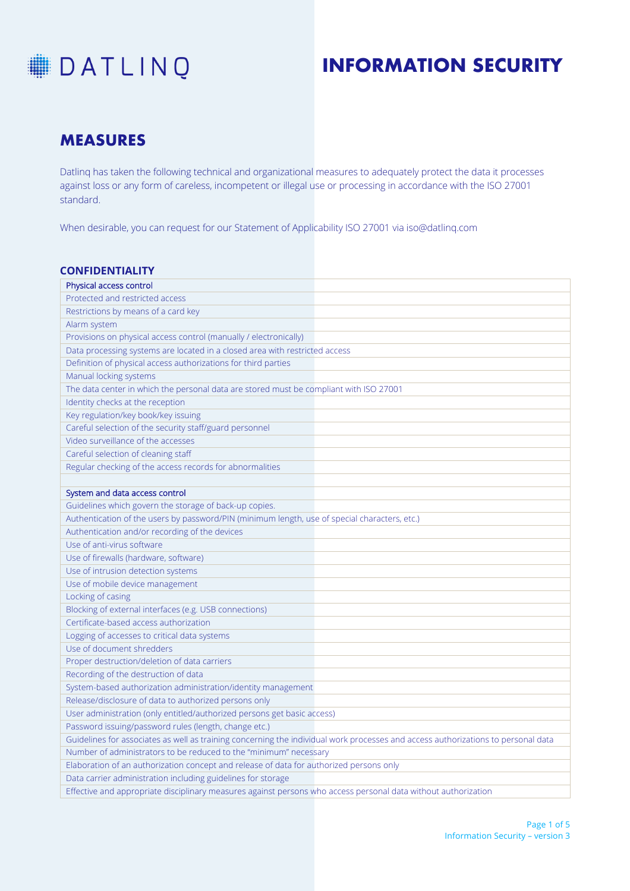

### **MEASURES**

Datlinq has taken the following technical and organizational measures to adequately protect the data it processes against loss or any form of careless, incompetent or illegal use or processing in accordance with the ISO 27001 standard.

When desirable, you can request for our Statement of Applicability ISO 27001 via iso@datlinq.com

| <b>CONFIDENTIALITY</b>                                                                                                            |  |  |
|-----------------------------------------------------------------------------------------------------------------------------------|--|--|
| Physical access control                                                                                                           |  |  |
| Protected and restricted access                                                                                                   |  |  |
| Restrictions by means of a card key                                                                                               |  |  |
| Alarm system                                                                                                                      |  |  |
| Provisions on physical access control (manually / electronically)                                                                 |  |  |
| Data processing systems are located in a closed area with restricted access                                                       |  |  |
| Definition of physical access authorizations for third parties                                                                    |  |  |
| Manual locking systems                                                                                                            |  |  |
| The data center in which the personal data are stored must be compliant with ISO 27001                                            |  |  |
| Identity checks at the reception                                                                                                  |  |  |
| Key regulation/key book/key issuing                                                                                               |  |  |
| Careful selection of the security staff/guard personnel                                                                           |  |  |
| Video surveillance of the accesses                                                                                                |  |  |
| Careful selection of cleaning staff                                                                                               |  |  |
| Regular checking of the access records for abnormalities                                                                          |  |  |
|                                                                                                                                   |  |  |
| System and data access control                                                                                                    |  |  |
| Guidelines which govern the storage of back-up copies.                                                                            |  |  |
| Authentication of the users by password/PIN (minimum length, use of special characters, etc.)                                     |  |  |
| Authentication and/or recording of the devices                                                                                    |  |  |
| Use of anti-virus software                                                                                                        |  |  |
| Use of firewalls (hardware, software)                                                                                             |  |  |
| Use of intrusion detection systems                                                                                                |  |  |
| Use of mobile device management                                                                                                   |  |  |
| Locking of casing                                                                                                                 |  |  |
| Blocking of external interfaces (e.g. USB connections)                                                                            |  |  |
| Certificate-based access authorization                                                                                            |  |  |
| Logging of accesses to critical data systems                                                                                      |  |  |
| Use of document shredders                                                                                                         |  |  |
| Proper destruction/deletion of data carriers                                                                                      |  |  |
| Recording of the destruction of data                                                                                              |  |  |
| System-based authorization administration/identity management                                                                     |  |  |
| Release/disclosure of data to authorized persons only                                                                             |  |  |
| User administration (only entitled/authorized persons get basic access)                                                           |  |  |
| Password issuing/password rules (length, change etc.)                                                                             |  |  |
| Guidelines for associates as well as training concerning the individual work processes and access authorizations to personal data |  |  |
| Number of administrators to be reduced to the "minimum" necessary                                                                 |  |  |
| Elaboration of an authorization concept and release of data for authorized persons only                                           |  |  |
| Data carrier administration including guidelines for storage                                                                      |  |  |
| Effective and appropriate disciplinary measures against persons who access personal data without authorization                    |  |  |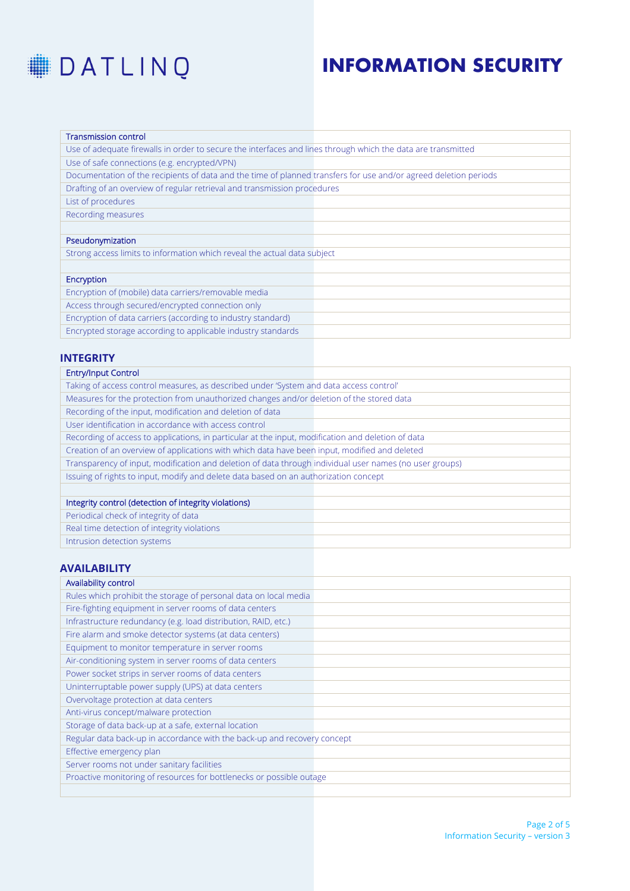

| <b>Transmission control</b>                                                                                      |  |
|------------------------------------------------------------------------------------------------------------------|--|
| Use of adequate firewalls in order to secure the interfaces and lines through which the data are transmitted     |  |
| Use of safe connections (e.g. encrypted/VPN)                                                                     |  |
| Documentation of the recipients of data and the time of planned transfers for use and/or agreed deletion periods |  |
| Drafting of an overview of regular retrieval and transmission procedures                                         |  |
| List of procedures                                                                                               |  |
| Recording measures                                                                                               |  |
|                                                                                                                  |  |
| Pseudonymization                                                                                                 |  |
| Strong access limits to information which reveal the actual data subject                                         |  |
|                                                                                                                  |  |
| Encryption                                                                                                       |  |
| Encryption of (mobile) data carriers/removable media                                                             |  |
| Access through secured/encrypted connection only                                                                 |  |
| Encryption of data carriers (according to industry standard)                                                     |  |
| Encrypted storage according to applicable industry standards                                                     |  |
|                                                                                                                  |  |
| <b>INTEGRITY</b>                                                                                                 |  |
| <b>Entry/Input Control</b>                                                                                       |  |
| Taking of access control measures, as described under 'System and data access control'                           |  |
| Measures for the protection from unauthorized changes and/or deletion of the stored data                         |  |
| Recording of the input, modification and deletion of data                                                        |  |
| User identification in accordance with access control                                                            |  |
| Recording of access to applications, in particular at the input, modification and deletion of data               |  |
| Creation of an overview of applications with which data have been input, modified and deleted                    |  |
| Transparency of input, modification and deletion of data through individual user names (no user groups)          |  |
| Issuing of rights to input, modify and delete data based on an authorization concept                             |  |
|                                                                                                                  |  |
| Integrity control (detection of integrity violations)                                                            |  |
| Periodical check of integrity of data                                                                            |  |
| Real time detection of integrity violations                                                                      |  |
| Intrusion detection systems                                                                                      |  |
|                                                                                                                  |  |
| <b>AVAILABILITY</b>                                                                                              |  |
| Availability control                                                                                             |  |
| Rules which prohibit the storage of personal data on local media                                                 |  |
| Fire-fighting equipment in server rooms of data centers                                                          |  |
| Infrastructure redundancy (e.g. load distribution, RAID, etc.)                                                   |  |
| Fire alarm and smoke detector systems (at data centers)                                                          |  |
| Equipment to monitor temperature in server rooms                                                                 |  |
| Air-conditioning system in server rooms of data centers                                                          |  |
| Power socket strips in server rooms of data centers                                                              |  |
| Uninterruptable power supply (UPS) at data centers                                                               |  |
| Overvoltage protection at data centers                                                                           |  |
| Anti-virus concept/malware protection                                                                            |  |
| Storage of data back-up at a safe, external location                                                             |  |
| Regular data back-up in accordance with the back-up and recovery concept                                         |  |
| Effective emergency plan                                                                                         |  |
| Server rooms not under sanitary facilities                                                                       |  |
| Proactive monitoring of resources for bottlenecks or possible outage                                             |  |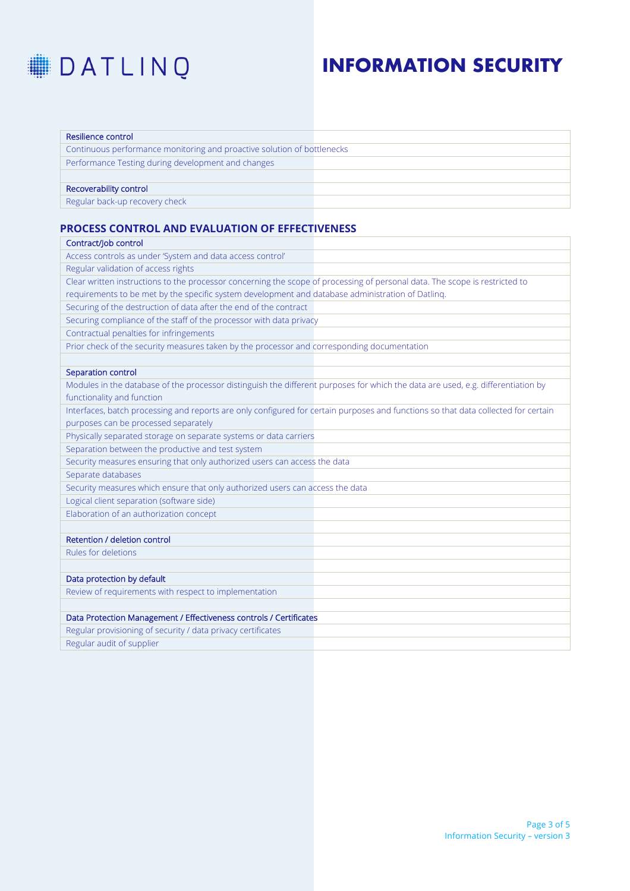

| Resilience control                                                      |  |
|-------------------------------------------------------------------------|--|
| Continuous performance monitoring and proactive solution of bottlenecks |  |
| Performance Testing during development and changes                      |  |
|                                                                         |  |
| Recoverability control                                                  |  |
| Regular back-up recovery check                                          |  |

### **PROCESS CONTROL AND EVALUATION OF EFFECTIVENESS**

| Contract/Job control                                                                                                               |  |
|------------------------------------------------------------------------------------------------------------------------------------|--|
| Access controls as under 'System and data access control'                                                                          |  |
| Regular validation of access rights                                                                                                |  |
| Clear written instructions to the processor concerning the scope of processing of personal data. The scope is restricted to        |  |
| requirements to be met by the specific system development and database administration of Datling.                                  |  |
| Securing of the destruction of data after the end of the contract                                                                  |  |
| Securing compliance of the staff of the processor with data privacy                                                                |  |
| Contractual penalties for infringements                                                                                            |  |
| Prior check of the security measures taken by the processor and corresponding documentation                                        |  |
|                                                                                                                                    |  |
| Separation control                                                                                                                 |  |
| Modules in the database of the processor distinguish the different purposes for which the data are used, e.g. differentiation by   |  |
| functionality and function                                                                                                         |  |
| Interfaces, batch processing and reports are only configured for certain purposes and functions so that data collected for certain |  |
| purposes can be processed separately                                                                                               |  |
| Physically separated storage on separate systems or data carriers                                                                  |  |
| Separation between the productive and test system                                                                                  |  |
| Security measures ensuring that only authorized users can access the data                                                          |  |
| Separate databases                                                                                                                 |  |
| Security measures which ensure that only authorized users can access the data                                                      |  |
| Logical client separation (software side)                                                                                          |  |
| Elaboration of an authorization concept                                                                                            |  |
|                                                                                                                                    |  |
| Retention / deletion control                                                                                                       |  |
| Rules for deletions                                                                                                                |  |
|                                                                                                                                    |  |
| Data protection by default                                                                                                         |  |
| Review of requirements with respect to implementation                                                                              |  |
|                                                                                                                                    |  |
| Data Protection Management / Effectiveness controls / Certificates                                                                 |  |
| Regular provisioning of security / data privacy certificates                                                                       |  |
| Regular audit of supplier                                                                                                          |  |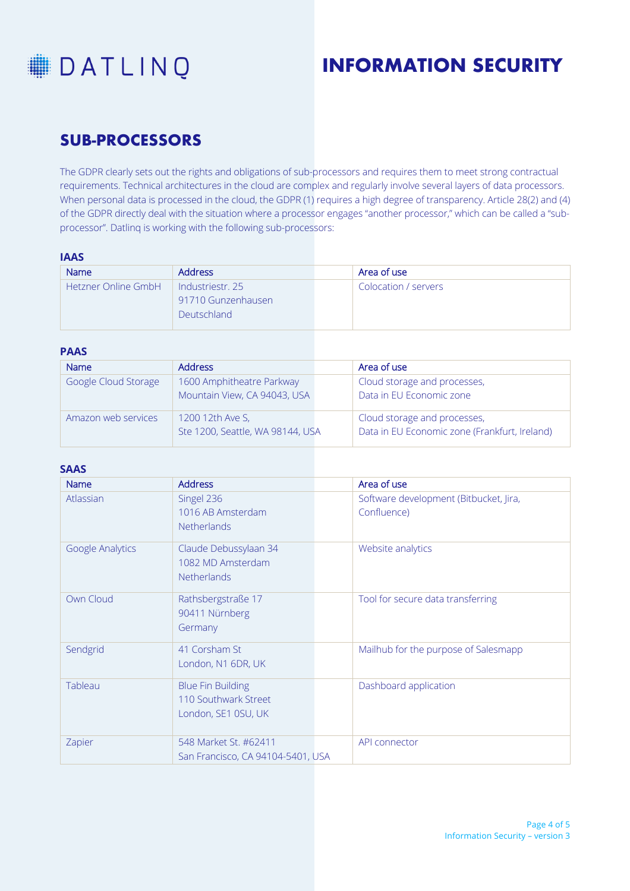

### **SUB-PROCESSORS**

The GDPR clearly sets out the rights and obligations of sub-processors and requires them to meet strong contractual requirements. Technical architectures in the cloud are complex and regularly involve several layers of data processors. When personal data is processed in the cloud, the GDPR (1) requires a high degree of transparency. Article 28(2) and (4) of the GDPR directly deal with the situation where a processor engages "another processor," which can be called a "subprocessor". Datlinq is working with the following sub-processors:

### **IAAS**

| Name                       | <b>Address</b>     | Area of use          |
|----------------------------|--------------------|----------------------|
| <b>Hetzner Online GmbH</b> | Industriestr. 25   | Colocation / servers |
|                            | 91710 Gunzenhausen |                      |
|                            | <b>Deutschland</b> |                      |
|                            |                    |                      |

#### **PAAS**

| <b>Name</b>          | <b>Address</b>                                            | Area of use                                                                   |
|----------------------|-----------------------------------------------------------|-------------------------------------------------------------------------------|
| Google Cloud Storage | 1600 Amphitheatre Parkway<br>Mountain View, CA 94043, USA | Cloud storage and processes,<br>Data in EU Economic zone                      |
| Amazon web services  | 1200 12th Ave S,<br>Ste 1200, Seattle, WA 98144, USA      | Cloud storage and processes,<br>Data in EU Economic zone (Frankfurt, Ireland) |

#### **SAAS**

| <b>Name</b>      | <b>Address</b>                                                          | Area of use                                           |
|------------------|-------------------------------------------------------------------------|-------------------------------------------------------|
| Atlassian        | Singel 236<br>1016 AB Amsterdam                                         | Software development (Bitbucket, Jira,<br>Confluence) |
|                  | Netherlands                                                             |                                                       |
| Google Analytics | Claude Debussylaan 34<br>1082 MD Amsterdam<br><b>Netherlands</b>        | Website analytics                                     |
| Own Cloud        | Rathsbergstraße 17<br>90411 Nürnberg<br>Germany                         | Tool for secure data transferring                     |
| Sendgrid         | 41 Corsham St<br>London, N1 6DR, UK                                     | Mailhub for the purpose of Salesmapp                  |
| Tableau          | <b>Blue Fin Building</b><br>110 Southwark Street<br>London, SE1 0SU, UK | Dashboard application                                 |
| Zapier           | 548 Market St. #62411<br>San Francisco, CA 94104-5401, USA              | API connector                                         |